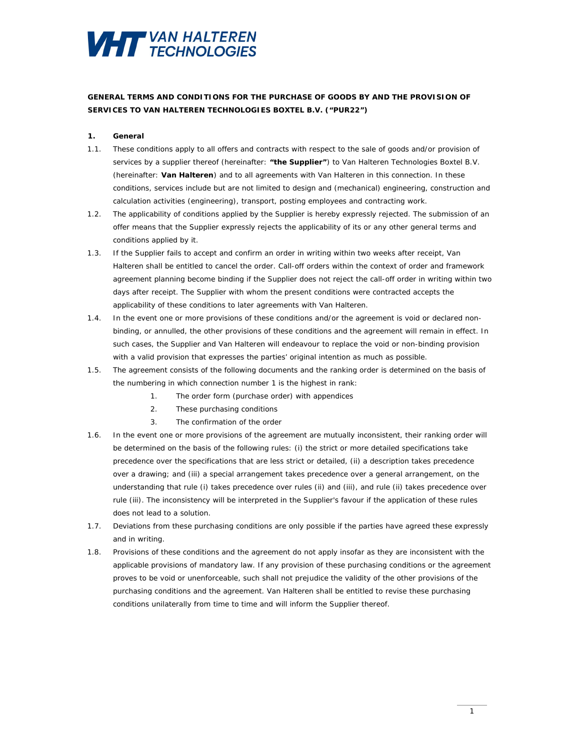

# **GENERAL TERMS AND CONDITIONS FOR THE PURCHASE OF GOODS BY AND THE PROVISION OF SERVICES TO VAN HALTEREN TECHNOLOGIES BOXTEL B.V. ("PUR22")**

## **1. General**

- 1.1. These conditions apply to all offers and contracts with respect to the sale of goods and/or provision of services by a supplier thereof (hereinafter: **"the Supplier"**) to Van Halteren Technologies Boxtel B.V. (hereinafter: **Van Halteren**) and to all agreements with Van Halteren in this connection. In these conditions, services include but are not limited to design and (mechanical) engineering, construction and calculation activities (engineering), transport, posting employees and contracting work.
- 1.2. The applicability of conditions applied by the Supplier is hereby expressly rejected. The submission of an offer means that the Supplier expressly rejects the applicability of its or any other general terms and conditions applied by it.
- 1.3. If the Supplier fails to accept and confirm an order in writing within two weeks after receipt, Van Halteren shall be entitled to cancel the order. Call-off orders within the context of order and framework agreement planning become binding if the Supplier does not reject the call-off order in writing within two days after receipt. The Supplier with whom the present conditions were contracted accepts the applicability of these conditions to later agreements with Van Halteren.
- 1.4. In the event one or more provisions of these conditions and/or the agreement is void or declared nonbinding, or annulled, the other provisions of these conditions and the agreement will remain in effect. In such cases, the Supplier and Van Halteren will endeavour to replace the void or non-binding provision with a valid provision that expresses the parties' original intention as much as possible.
- 1.5. The agreement consists of the following documents and the ranking order is determined on the basis of the numbering in which connection number 1 is the highest in rank:
	- 1. The order form (purchase order) with appendices
	- 2. These purchasing conditions
	- 3. The confirmation of the order
- 1.6. In the event one or more provisions of the agreement are mutually inconsistent, their ranking order will be determined on the basis of the following rules: (i) the strict or more detailed specifications take precedence over the specifications that are less strict or detailed, (ii) a description takes precedence over a drawing; and (iii) a special arrangement takes precedence over a general arrangement, on the understanding that rule (i) takes precedence over rules (ii) and (iii), and rule (ii) takes precedence over rule (iii). The inconsistency will be interpreted in the Supplier's favour if the application of these rules does not lead to a solution.
- 1.7. Deviations from these purchasing conditions are only possible if the parties have agreed these expressly and in writing.
- 1.8. Provisions of these conditions and the agreement do not apply insofar as they are inconsistent with the applicable provisions of mandatory law. If any provision of these purchasing conditions or the agreement proves to be void or unenforceable, such shall not prejudice the validity of the other provisions of the purchasing conditions and the agreement. Van Halteren shall be entitled to revise these purchasing conditions unilaterally from time to time and will inform the Supplier thereof.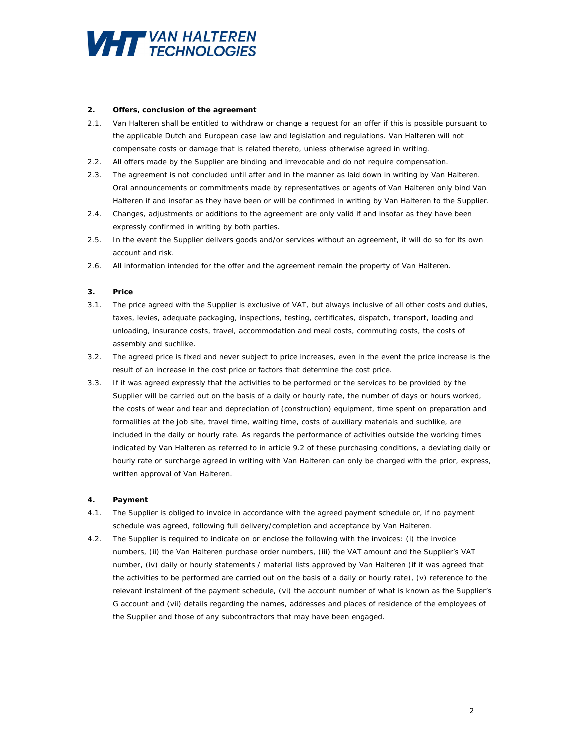

## **2. Offers, conclusion of the agreement**

- 2.1. Van Halteren shall be entitled to withdraw or change a request for an offer if this is possible pursuant to the applicable Dutch and European case law and legislation and regulations. Van Halteren will not compensate costs or damage that is related thereto, unless otherwise agreed in writing.
- 2.2. All offers made by the Supplier are binding and irrevocable and do not require compensation.
- 2.3. The agreement is not concluded until after and in the manner as laid down in writing by Van Halteren. Oral announcements or commitments made by representatives or agents of Van Halteren only bind Van Halteren if and insofar as they have been or will be confirmed in writing by Van Halteren to the Supplier.
- 2.4. Changes, adjustments or additions to the agreement are only valid if and insofar as they have been expressly confirmed in writing by both parties.
- 2.5. In the event the Supplier delivers goods and/or services without an agreement, it will do so for its own account and risk.
- 2.6. All information intended for the offer and the agreement remain the property of Van Halteren.

#### **3. Price**

- 3.1. The price agreed with the Supplier is exclusive of VAT, but always inclusive of all other costs and duties, taxes, levies, adequate packaging, inspections, testing, certificates, dispatch, transport, loading and unloading, insurance costs, travel, accommodation and meal costs, commuting costs, the costs of assembly and suchlike.
- 3.2. The agreed price is fixed and never subject to price increases, even in the event the price increase is the result of an increase in the cost price or factors that determine the cost price.
- 3.3. If it was agreed expressly that the activities to be performed or the services to be provided by the Supplier will be carried out on the basis of a daily or hourly rate, the number of days or hours worked, the costs of wear and tear and depreciation of (construction) equipment, time spent on preparation and formalities at the job site, travel time, waiting time, costs of auxiliary materials and suchlike, are included in the daily or hourly rate. As regards the performance of activities outside the working times indicated by Van Halteren as referred to in article 9.2 of these purchasing conditions, a deviating daily or hourly rate or surcharge agreed in writing with Van Halteren can only be charged with the prior, express, written approval of Van Halteren.

#### **4. Payment**

- 4.1. The Supplier is obliged to invoice in accordance with the agreed payment schedule or, if no payment schedule was agreed, following full delivery/completion and acceptance by Van Halteren.
- 4.2. The Supplier is required to indicate on or enclose the following with the invoices: (i) the invoice numbers, (ii) the Van Halteren purchase order numbers, (iii) the VAT amount and the Supplier's VAT number, (iv) daily or hourly statements / material lists approved by Van Halteren (if it was agreed that the activities to be performed are carried out on the basis of a daily or hourly rate), (v) reference to the relevant instalment of the payment schedule, (vi) the account number of what is known as the Supplier's G account and (vii) details regarding the names, addresses and places of residence of the employees of the Supplier and those of any subcontractors that may have been engaged.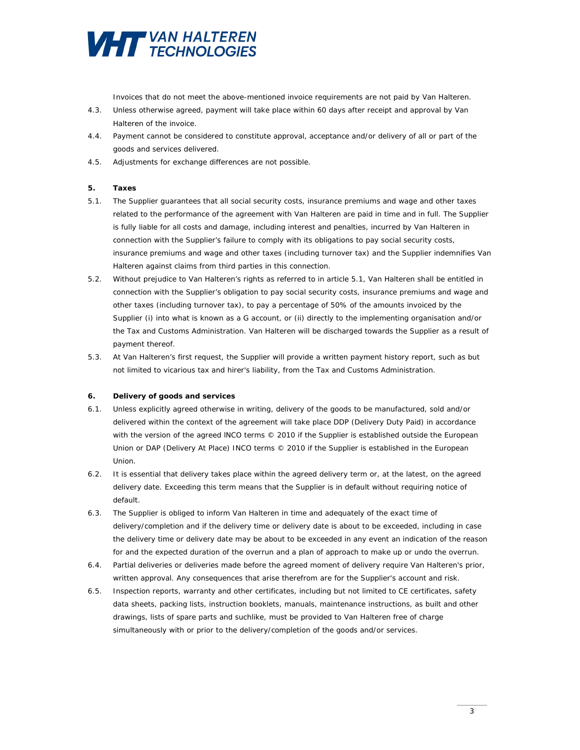

Invoices that do not meet the above-mentioned invoice requirements are not paid by Van Halteren.

- 4.3. Unless otherwise agreed, payment will take place within 60 days after receipt and approval by Van Halteren of the invoice.
- 4.4. Payment cannot be considered to constitute approval, acceptance and/or delivery of all or part of the goods and services delivered.
- 4.5. Adjustments for exchange differences are not possible.

## **5. Taxes**

- 5.1. The Supplier guarantees that all social security costs, insurance premiums and wage and other taxes related to the performance of the agreement with Van Halteren are paid in time and in full. The Supplier is fully liable for all costs and damage, including interest and penalties, incurred by Van Halteren in connection with the Supplier's failure to comply with its obligations to pay social security costs, insurance premiums and wage and other taxes (including turnover tax) and the Supplier indemnifies Van Halteren against claims from third parties in this connection.
- 5.2. Without prejudice to Van Halteren's rights as referred to in article 5.1, Van Halteren shall be entitled in connection with the Supplier's obligation to pay social security costs, insurance premiums and wage and other taxes (including turnover tax), to pay a percentage of 50% of the amounts invoiced by the Supplier (i) into what is known as a G account, or (ii) directly to the implementing organisation and/or the Tax and Customs Administration. Van Halteren will be discharged towards the Supplier as a result of payment thereof.
- 5.3. At Van Halteren's first request, the Supplier will provide a written payment history report, such as but not limited to vicarious tax and hirer's liability, from the Tax and Customs Administration.

#### **6. Delivery of goods and services**

- 6.1. Unless explicitly agreed otherwise in writing, delivery of the goods to be manufactured, sold and/or delivered within the context of the agreement will take place DDP (*Delivery Duty Paid*) in accordance with the version of the agreed INCO terms  $© 2010$  if the Supplier is established outside the European Union or DAP (Delivery At Place) INCO terms © 2010 if the Supplier is established in the European Union.
- 6.2. It is essential that delivery takes place within the agreed delivery term or, at the latest, on the agreed delivery date. Exceeding this term means that the Supplier is in default without requiring notice of default.
- 6.3. The Supplier is obliged to inform Van Halteren in time and adequately of the exact time of delivery/completion and if the delivery time or delivery date is about to be exceeded, including in case the delivery time or delivery date may be about to be exceeded in any event an indication of the reason for and the expected duration of the overrun and a plan of approach to make up or undo the overrun.
- 6.4. Partial deliveries or deliveries made before the agreed moment of delivery require Van Halteren's prior, written approval. Any consequences that arise therefrom are for the Supplier's account and risk.
- 6.5. Inspection reports, warranty and other certificates, including but not limited to CE certificates, safety data sheets, packing lists, instruction booklets, manuals, maintenance instructions, as built and other drawings, lists of spare parts and suchlike, must be provided to Van Halteren free of charge simultaneously with or prior to the delivery/completion of the goods and/or services.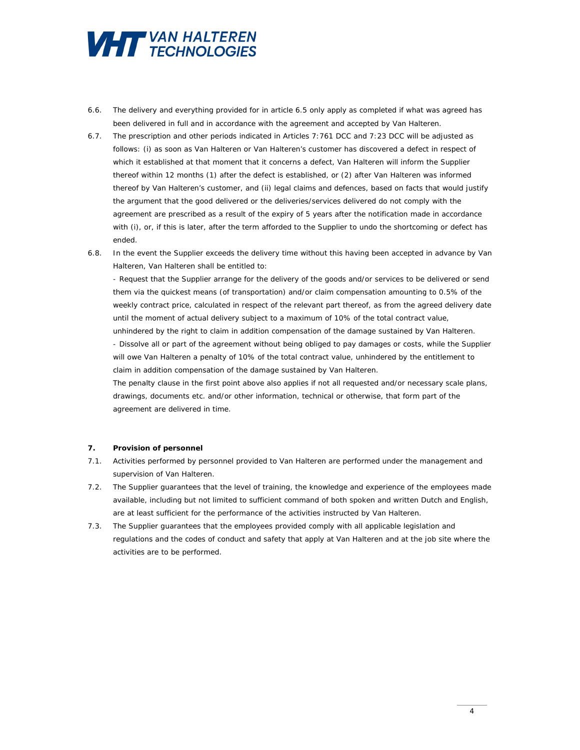

- 6.6. The delivery and everything provided for in article 6.5 only apply as completed if what was agreed has been delivered in full and in accordance with the agreement and accepted by Van Halteren.
- 6.7. The prescription and other periods indicated in Articles 7:761 DCC and 7:23 DCC will be adjusted as follows: (i) as soon as Van Halteren or Van Halteren's customer has discovered a defect in respect of which it established at that moment that it concerns a defect, Van Halteren will inform the Supplier thereof within 12 months (1) after the defect is established, or (2) after Van Halteren was informed thereof by Van Halteren's customer, and (ii) legal claims and defences, based on facts that would justify the argument that the good delivered or the deliveries/services delivered do not comply with the agreement are prescribed as a result of the expiry of 5 years after the notification made in accordance with (i), or, if this is later, after the term afforded to the Supplier to undo the shortcoming or defect has ended.
- 6.8. In the event the Supplier exceeds the delivery time without this having been accepted in advance by Van Halteren, Van Halteren shall be entitled to:

- Request that the Supplier arrange for the delivery of the goods and/or services to be delivered or send them via the quickest means (of transportation) and/or claim compensation amounting to 0.5% of the weekly contract price, calculated in respect of the relevant part thereof, as from the agreed delivery date until the moment of actual delivery subject to a maximum of 10% of the total contract value, unhindered by the right to claim in addition compensation of the damage sustained by Van Halteren. - Dissolve all or part of the agreement without being obliged to pay damages or costs, while the Supplier will owe Van Halteren a penalty of 10% of the total contract value, unhindered by the entitlement to claim in addition compensation of the damage sustained by Van Halteren. The penalty clause in the first point above also applies if not all requested and/or necessary scale plans,

drawings, documents etc. and/or other information, technical or otherwise, that form part of the agreement are delivered in time.

# **7. Provision of personnel**

- 7.1. Activities performed by personnel provided to Van Halteren are performed under the management and supervision of Van Halteren.
- 7.2. The Supplier guarantees that the level of training, the knowledge and experience of the employees made available, including but not limited to sufficient command of both spoken and written Dutch and English, are at least sufficient for the performance of the activities instructed by Van Halteren.
- 7.3. The Supplier guarantees that the employees provided comply with all applicable legislation and regulations and the codes of conduct and safety that apply at Van Halteren and at the job site where the activities are to be performed.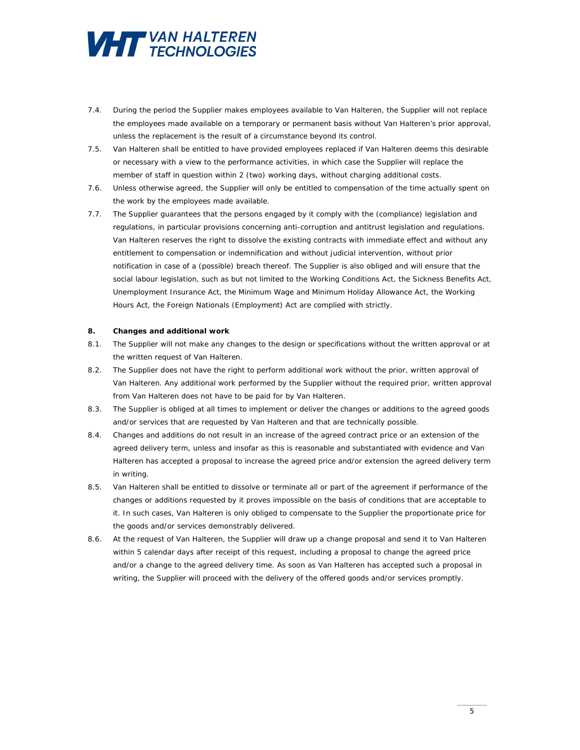

- 7.4. During the period the Supplier makes employees available to Van Halteren, the Supplier will not replace the employees made available on a temporary or permanent basis without Van Halteren's prior approval, unless the replacement is the result of a circumstance beyond its control.
- 7.5. Van Halteren shall be entitled to have provided employees replaced if Van Halteren deems this desirable or necessary with a view to the performance activities, in which case the Supplier will replace the member of staff in question within 2 (two) working days, without charging additional costs.
- 7.6. Unless otherwise agreed, the Supplier will only be entitled to compensation of the time actually spent on the work by the employees made available.
- 7.7. The Supplier guarantees that the persons engaged by it comply with the (compliance) legislation and regulations, in particular provisions concerning anti-corruption and antitrust legislation and regulations. Van Halteren reserves the right to dissolve the existing contracts with immediate effect and without any entitlement to compensation or indemnification and without judicial intervention, without prior notification in case of a (possible) breach thereof. The Supplier is also obliged and will ensure that the social labour legislation, such as but not limited to the Working Conditions Act, the Sickness Benefits Act, Unemployment Insurance Act, the Minimum Wage and Minimum Holiday Allowance Act, the Working Hours Act, the Foreign Nationals (Employment) Act are complied with strictly.

#### **8. Changes and additional work**

- 8.1. The Supplier will not make any changes to the design or specifications without the written approval or at the written request of Van Halteren.
- 8.2. The Supplier does not have the right to perform additional work without the prior, written approval of Van Halteren. Any additional work performed by the Supplier without the required prior, written approval from Van Halteren does not have to be paid for by Van Halteren.
- 8.3. The Supplier is obliged at all times to implement or deliver the changes or additions to the agreed goods and/or services that are requested by Van Halteren and that are technically possible.
- 8.4. Changes and additions do not result in an increase of the agreed contract price or an extension of the agreed delivery term, unless and insofar as this is reasonable and substantiated with evidence and Van Halteren has accepted a proposal to increase the agreed price and/or extension the agreed delivery term in writing.
- 8.5. Van Halteren shall be entitled to dissolve or terminate all or part of the agreement if performance of the changes or additions requested by it proves impossible on the basis of conditions that are acceptable to it. In such cases, Van Halteren is only obliged to compensate to the Supplier the proportionate price for the goods and/or services demonstrably delivered.
- 8.6. At the request of Van Halteren, the Supplier will draw up a change proposal and send it to Van Halteren within 5 calendar days after receipt of this request, including a proposal to change the agreed price and/or a change to the agreed delivery time. As soon as Van Halteren has accepted such a proposal in writing, the Supplier will proceed with the delivery of the offered goods and/or services promptly.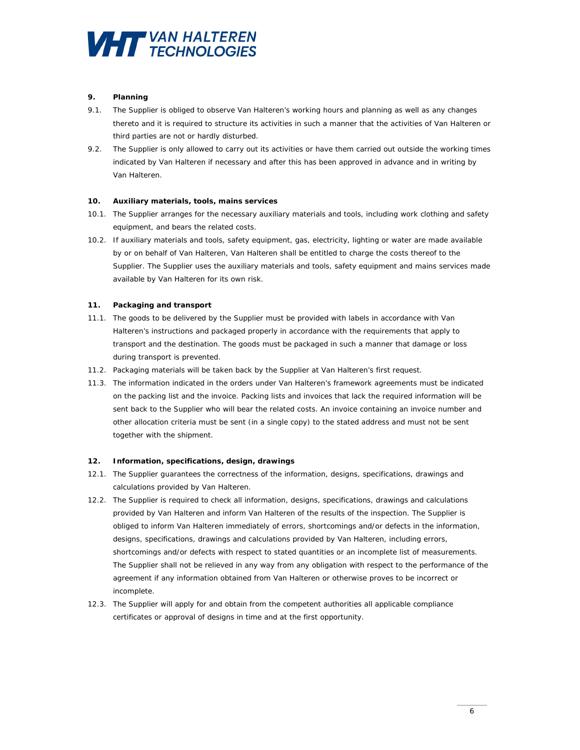

# **9. Planning**

- 9.1. The Supplier is obliged to observe Van Halteren's working hours and planning as well as any changes thereto and it is required to structure its activities in such a manner that the activities of Van Halteren or third parties are not or hardly disturbed.
- 9.2. The Supplier is only allowed to carry out its activities or have them carried out outside the working times indicated by Van Halteren if necessary and after this has been approved in advance and in writing by Van Halteren.

# **10. Auxiliary materials, tools, mains services**

- 10.1. The Supplier arranges for the necessary auxiliary materials and tools, including work clothing and safety equipment, and bears the related costs.
- 10.2. If auxiliary materials and tools, safety equipment, gas, electricity, lighting or water are made available by or on behalf of Van Halteren, Van Halteren shall be entitled to charge the costs thereof to the Supplier. The Supplier uses the auxiliary materials and tools, safety equipment and mains services made available by Van Halteren for its own risk.

# **11. Packaging and transport**

- 11.1. The goods to be delivered by the Supplier must be provided with labels in accordance with Van Halteren's instructions and packaged properly in accordance with the requirements that apply to transport and the destination. The goods must be packaged in such a manner that damage or loss during transport is prevented.
- 11.2. Packaging materials will be taken back by the Supplier at Van Halteren's first request.
- 11.3. The information indicated in the orders under Van Halteren's framework agreements must be indicated on the packing list and the invoice. Packing lists and invoices that lack the required information will be sent back to the Supplier who will bear the related costs. An invoice containing an invoice number and other allocation criteria must be sent (in a single copy) to the stated address and must not be sent together with the shipment.

## **12. Information, specifications, design, drawings**

- 12.1. The Supplier guarantees the correctness of the information, designs, specifications, drawings and calculations provided by Van Halteren.
- 12.2. The Supplier is required to check all information, designs, specifications, drawings and calculations provided by Van Halteren and inform Van Halteren of the results of the inspection. The Supplier is obliged to inform Van Halteren immediately of errors, shortcomings and/or defects in the information, designs, specifications, drawings and calculations provided by Van Halteren, including errors, shortcomings and/or defects with respect to stated quantities or an incomplete list of measurements. The Supplier shall not be relieved in any way from any obligation with respect to the performance of the agreement if any information obtained from Van Halteren or otherwise proves to be incorrect or incomplete.
- 12.3. The Supplier will apply for and obtain from the competent authorities all applicable compliance certificates or approval of designs in time and at the first opportunity.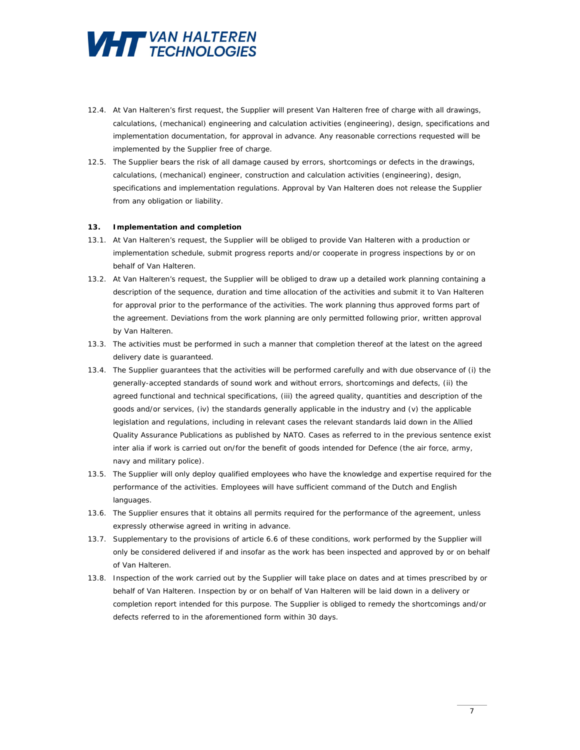

- 12.4. At Van Halteren's first request, the Supplier will present Van Halteren free of charge with all drawings, calculations, (mechanical) engineering and calculation activities (*engineering*), design, specifications and implementation documentation, for approval in advance. Any reasonable corrections requested will be implemented by the Supplier free of charge.
- 12.5. The Supplier bears the risk of all damage caused by errors, shortcomings or defects in the drawings, calculations, (mechanical) engineer, construction and calculation activities (*engineering*), design, specifications and implementation regulations. Approval by Van Halteren does not release the Supplier from any obligation or liability.

#### **13. Implementation and completion**

- 13.1. At Van Halteren's request, the Supplier will be obliged to provide Van Halteren with a production or implementation schedule, submit progress reports and/or cooperate in progress inspections by or on behalf of Van Halteren.
- 13.2. At Van Halteren's request, the Supplier will be obliged to draw up a detailed work planning containing a description of the sequence, duration and time allocation of the activities and submit it to Van Halteren for approval prior to the performance of the activities. The work planning thus approved forms part of the agreement. Deviations from the work planning are only permitted following prior, written approval by Van Halteren.
- 13.3. The activities must be performed in such a manner that completion thereof at the latest on the agreed delivery date is guaranteed.
- 13.4. The Supplier guarantees that the activities will be performed carefully and with due observance of (i) the generally-accepted standards of sound work and without errors, shortcomings and defects, (ii) the agreed functional and technical specifications, (iii) the agreed quality, quantities and description of the goods and/or services, (iv) the standards generally applicable in the industry and (v) the applicable legislation and regulations, including in relevant cases the relevant standards laid down in the Allied Quality Assurance Publications as published by NATO. Cases as referred to in the previous sentence exist inter alia if work is carried out on/for the benefit of goods intended for Defence (the air force, army, navy and military police).
- 13.5. The Supplier will only deploy qualified employees who have the knowledge and expertise required for the performance of the activities. Employees will have sufficient command of the Dutch and English languages.
- 13.6. The Supplier ensures that it obtains all permits required for the performance of the agreement, unless expressly otherwise agreed in writing in advance.
- 13.7. Supplementary to the provisions of article 6.6 of these conditions, work performed by the Supplier will only be considered delivered if and insofar as the work has been inspected and approved by or on behalf of Van Halteren.
- 13.8. Inspection of the work carried out by the Supplier will take place on dates and at times prescribed by or behalf of Van Halteren. Inspection by or on behalf of Van Halteren will be laid down in a delivery or completion report intended for this purpose. The Supplier is obliged to remedy the shortcomings and/or defects referred to in the aforementioned form within 30 days.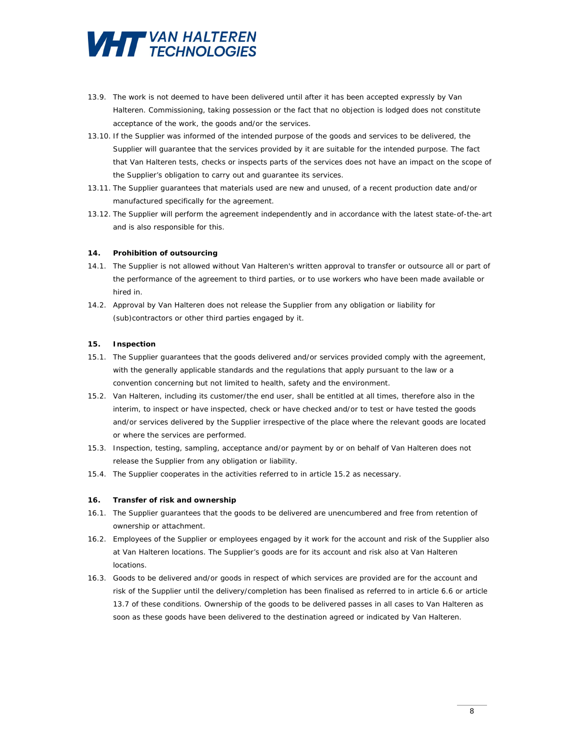

- 13.9. The work is not deemed to have been delivered until after it has been accepted expressly by Van Halteren. Commissioning, taking possession or the fact that no objection is lodged does not constitute acceptance of the work, the goods and/or the services.
- 13.10. If the Supplier was informed of the intended purpose of the goods and services to be delivered, the Supplier will guarantee that the services provided by it are suitable for the intended purpose. The fact that Van Halteren tests, checks or inspects parts of the services does not have an impact on the scope of the Supplier's obligation to carry out and guarantee its services.
- 13.11. The Supplier guarantees that materials used are new and unused, of a recent production date and/or manufactured specifically for the agreement.
- 13.12. The Supplier will perform the agreement independently and in accordance with the latest state-of-the-art and is also responsible for this.

#### **14. Prohibition of outsourcing**

- 14.1. The Supplier is not allowed without Van Halteren's written approval to transfer or outsource all or part of the performance of the agreement to third parties, or to use workers who have been made available or hired in.
- 14.2. Approval by Van Halteren does not release the Supplier from any obligation or liability for (sub)contractors or other third parties engaged by it.

## **15. Inspection**

- 15.1. The Supplier guarantees that the goods delivered and/or services provided comply with the agreement, with the generally applicable standards and the regulations that apply pursuant to the law or a convention concerning but not limited to health, safety and the environment.
- 15.2. Van Halteren, including its customer/the end user, shall be entitled at all times, therefore also in the interim, to inspect or have inspected, check or have checked and/or to test or have tested the goods and/or services delivered by the Supplier irrespective of the place where the relevant goods are located or where the services are performed.
- 15.3. Inspection, testing, sampling, acceptance and/or payment by or on behalf of Van Halteren does not release the Supplier from any obligation or liability.
- 15.4. The Supplier cooperates in the activities referred to in article 15.2 as necessary.

#### **16. Transfer of risk and ownership**

- 16.1. The Supplier guarantees that the goods to be delivered are unencumbered and free from retention of ownership or attachment.
- 16.2. Employees of the Supplier or employees engaged by it work for the account and risk of the Supplier also at Van Halteren locations. The Supplier's goods are for its account and risk also at Van Halteren locations.
- 16.3. Goods to be delivered and/or goods in respect of which services are provided are for the account and risk of the Supplier until the delivery/completion has been finalised as referred to in article 6.6 or article 13.7 of these conditions. Ownership of the goods to be delivered passes in all cases to Van Halteren as soon as these goods have been delivered to the destination agreed or indicated by Van Halteren.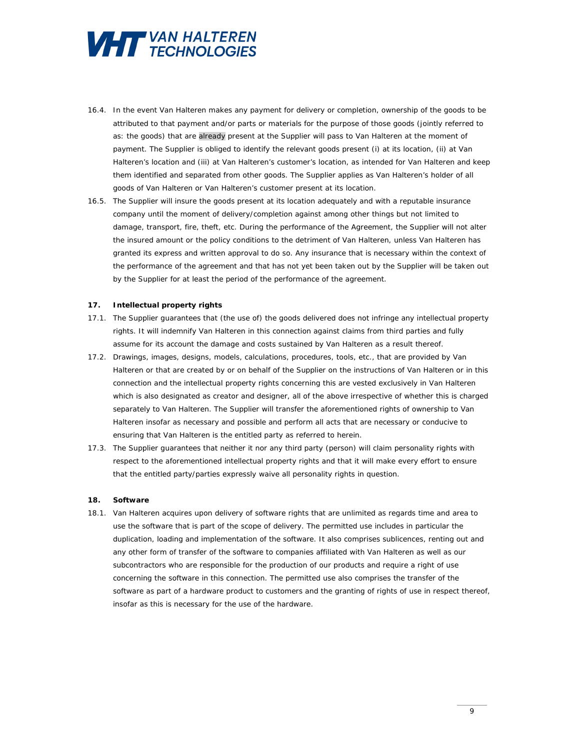

- 16.4. In the event Van Halteren makes any payment for delivery or completion, ownership of the goods to be attributed to that payment and/or parts or materials for the purpose of those goods (jointly referred to as: the goods) that are already present at the Supplier will pass to Van Halteren at the moment of payment. The Supplier is obliged to identify the relevant goods present (i) at its location, (ii) at Van Halteren's location and (iii) at Van Halteren's customer's location, as intended for Van Halteren and keep them identified and separated from other goods. The Supplier applies as Van Halteren's holder of all goods of Van Halteren or Van Halteren's customer present at its location.
- 16.5. The Supplier will insure the goods present at its location adequately and with a reputable insurance company until the moment of delivery/completion against among other things but not limited to damage, transport, fire, theft, etc. During the performance of the Agreement, the Supplier will not alter the insured amount or the policy conditions to the detriment of Van Halteren, unless Van Halteren has granted its express and written approval to do so. Any insurance that is necessary within the context of the performance of the agreement and that has not yet been taken out by the Supplier will be taken out by the Supplier for at least the period of the performance of the agreement.

#### **17. Intellectual property rights**

- 17.1. The Supplier guarantees that (the use of) the goods delivered does not infringe any intellectual property rights. It will indemnify Van Halteren in this connection against claims from third parties and fully assume for its account the damage and costs sustained by Van Halteren as a result thereof.
- 17.2. Drawings, images, designs, models, calculations, procedures, tools, etc., that are provided by Van Halteren or that are created by or on behalf of the Supplier on the instructions of Van Halteren or in this connection and the intellectual property rights concerning this are vested exclusively in Van Halteren which is also designated as creator and designer, all of the above irrespective of whether this is charged separately to Van Halteren. The Supplier will transfer the aforementioned rights of ownership to Van Halteren insofar as necessary and possible and perform all acts that are necessary or conducive to ensuring that Van Halteren is the entitled party as referred to herein.
- 17.3. The Supplier guarantees that neither it nor any third party (person) will claim personality rights with respect to the aforementioned intellectual property rights and that it will make every effort to ensure that the entitled party/parties expressly waive all personality rights in question.

#### **18. Software**

18.1. Van Halteren acquires upon delivery of software rights that are unlimited as regards time and area to use the software that is part of the scope of delivery. The permitted use includes in particular the duplication, loading and implementation of the software. It also comprises sublicences, renting out and any other form of transfer of the software to companies affiliated with Van Halteren as well as our subcontractors who are responsible for the production of our products and require a right of use concerning the software in this connection. The permitted use also comprises the transfer of the software as part of a hardware product to customers and the granting of rights of use in respect thereof, insofar as this is necessary for the use of the hardware.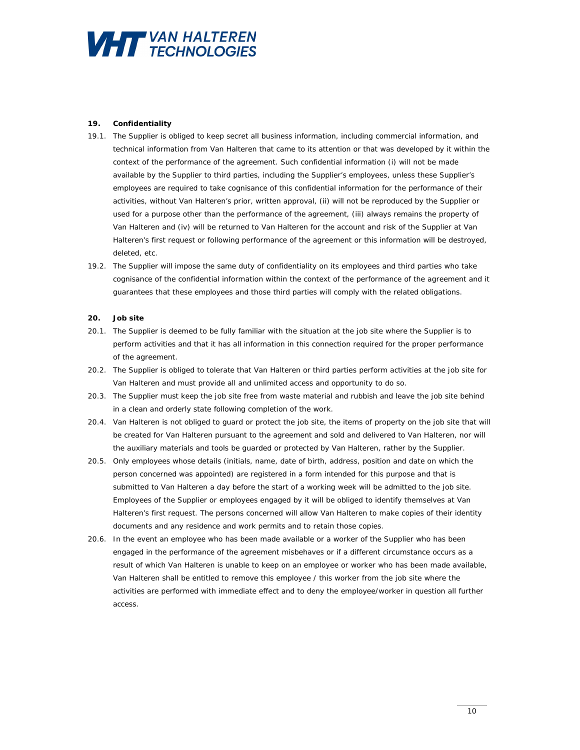

## **19. Confidentiality**

- 19.1. The Supplier is obliged to keep secret all business information, including commercial information, and technical information from Van Halteren that came to its attention or that was developed by it within the context of the performance of the agreement. Such confidential information (i) will not be made available by the Supplier to third parties, including the Supplier's employees, unless these Supplier's employees are required to take cognisance of this confidential information for the performance of their activities, without Van Halteren's prior, written approval, (ii) will not be reproduced by the Supplier or used for a purpose other than the performance of the agreement, (iii) always remains the property of Van Halteren and (iv) will be returned to Van Halteren for the account and risk of the Supplier at Van Halteren's first request or following performance of the agreement or this information will be destroyed, deleted, etc.
- 19.2. The Supplier will impose the same duty of confidentiality on its employees and third parties who take cognisance of the confidential information within the context of the performance of the agreement and it guarantees that these employees and those third parties will comply with the related obligations.

## **20. Job site**

- 20.1. The Supplier is deemed to be fully familiar with the situation at the job site where the Supplier is to perform activities and that it has all information in this connection required for the proper performance of the agreement.
- 20.2. The Supplier is obliged to tolerate that Van Halteren or third parties perform activities at the job site for Van Halteren and must provide all and unlimited access and opportunity to do so.
- 20.3. The Supplier must keep the job site free from waste material and rubbish and leave the job site behind in a clean and orderly state following completion of the work.
- 20.4. Van Halteren is not obliged to guard or protect the job site, the items of property on the job site that will be created for Van Halteren pursuant to the agreement and sold and delivered to Van Halteren, nor will the auxiliary materials and tools be guarded or protected by Van Halteren, rather by the Supplier.
- 20.5. Only employees whose details (initials, name, date of birth, address, position and date on which the person concerned was appointed) are registered in a form intended for this purpose and that is submitted to Van Halteren a day before the start of a working week will be admitted to the job site. Employees of the Supplier or employees engaged by it will be obliged to identify themselves at Van Halteren's first request. The persons concerned will allow Van Halteren to make copies of their identity documents and any residence and work permits and to retain those copies.
- 20.6. In the event an employee who has been made available or a worker of the Supplier who has been engaged in the performance of the agreement misbehaves or if a different circumstance occurs as a result of which Van Halteren is unable to keep on an employee or worker who has been made available, Van Halteren shall be entitled to remove this employee / this worker from the job site where the activities are performed with immediate effect and to deny the employee/worker in question all further access.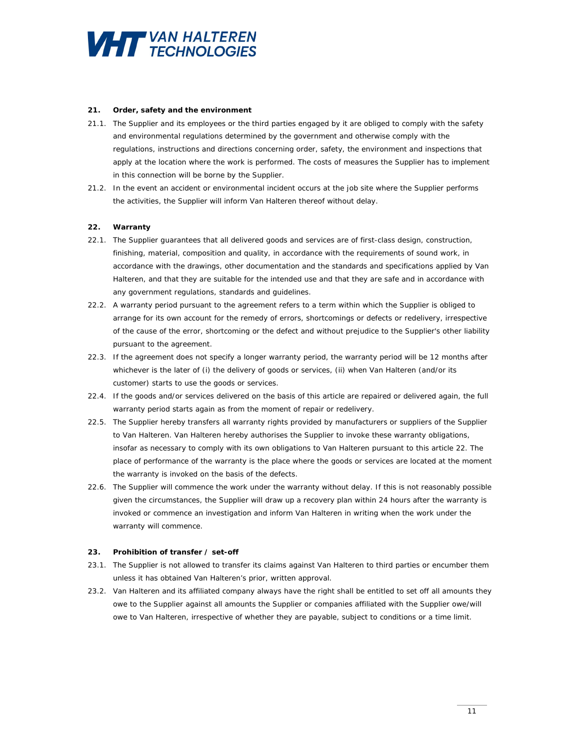

#### **21. Order, safety and the environment**

- 21.1. The Supplier and its employees or the third parties engaged by it are obliged to comply with the safety and environmental regulations determined by the government and otherwise comply with the regulations, instructions and directions concerning order, safety, the environment and inspections that apply at the location where the work is performed. The costs of measures the Supplier has to implement in this connection will be borne by the Supplier.
- 21.2. In the event an accident or environmental incident occurs at the job site where the Supplier performs the activities, the Supplier will inform Van Halteren thereof without delay.

#### **22. Warranty**

- 22.1. The Supplier guarantees that all delivered goods and services are of first-class design, construction, finishing, material, composition and quality, in accordance with the requirements of sound work, in accordance with the drawings, other documentation and the standards and specifications applied by Van Halteren, and that they are suitable for the intended use and that they are safe and in accordance with any government regulations, standards and guidelines.
- 22.2. A warranty period pursuant to the agreement refers to a term within which the Supplier is obliged to arrange for its own account for the remedy of errors, shortcomings or defects or redelivery, irrespective of the cause of the error, shortcoming or the defect and without prejudice to the Supplier's other liability pursuant to the agreement.
- 22.3. If the agreement does not specify a longer warranty period, the warranty period will be 12 months after whichever is the later of (i) the delivery of goods or services, (ii) when Van Halteren (and/or its customer) starts to use the goods or services.
- 22.4. If the goods and/or services delivered on the basis of this article are repaired or delivered again, the full warranty period starts again as from the moment of repair or redelivery.
- 22.5. The Supplier hereby transfers all warranty rights provided by manufacturers or suppliers of the Supplier to Van Halteren. Van Halteren hereby authorises the Supplier to invoke these warranty obligations, insofar as necessary to comply with its own obligations to Van Halteren pursuant to this article 22. The place of performance of the warranty is the place where the goods or services are located at the moment the warranty is invoked on the basis of the defects.
- 22.6. The Supplier will commence the work under the warranty without delay. If this is not reasonably possible given the circumstances, the Supplier will draw up a recovery plan within 24 hours after the warranty is invoked or commence an investigation and inform Van Halteren in writing when the work under the warranty will commence.

#### **23. Prohibition of transfer / set-off**

- 23.1. The Supplier is not allowed to transfer its claims against Van Halteren to third parties or encumber them unless it has obtained Van Halteren's prior, written approval.
- 23.2. Van Halteren and its affiliated company always have the right shall be entitled to set off all amounts they owe to the Supplier against all amounts the Supplier or companies affiliated with the Supplier owe/will owe to Van Halteren, irrespective of whether they are payable, subject to conditions or a time limit.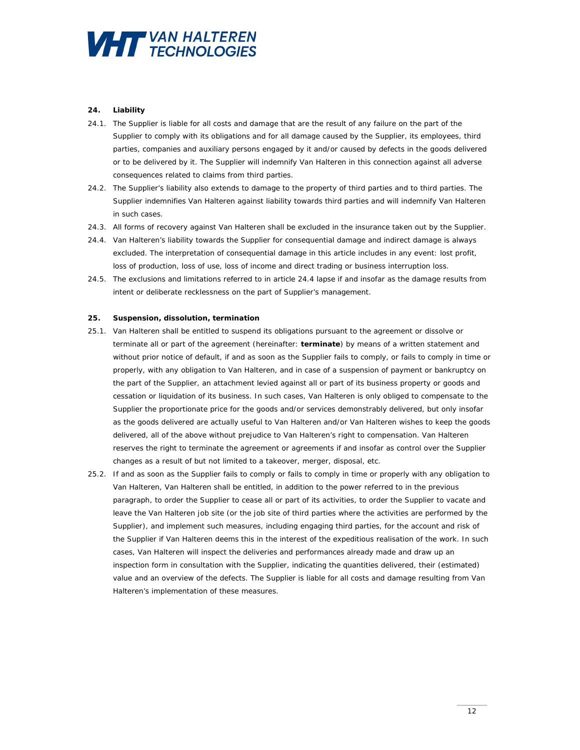

# **24. Liability**

- 24.1. The Supplier is liable for all costs and damage that are the result of any failure on the part of the Supplier to comply with its obligations and for all damage caused by the Supplier, its employees, third parties, companies and auxiliary persons engaged by it and/or caused by defects in the goods delivered or to be delivered by it. The Supplier will indemnify Van Halteren in this connection against all adverse consequences related to claims from third parties.
- 24.2. The Supplier's liability also extends to damage to the property of third parties and to third parties. The Supplier indemnifies Van Halteren against liability towards third parties and will indemnify Van Halteren in such cases.
- 24.3. All forms of recovery against Van Halteren shall be excluded in the insurance taken out by the Supplier.
- 24.4. Van Halteren's liability towards the Supplier for consequential damage and indirect damage is always excluded. The interpretation of consequential damage in this article includes in any event: lost profit, loss of production, loss of use, loss of income and direct trading or business interruption loss.
- 24.5. The exclusions and limitations referred to in article 24.4 lapse if and insofar as the damage results from intent or deliberate recklessness on the part of Supplier's management.

#### **25. Suspension, dissolution, termination**

- 25.1. Van Halteren shall be entitled to suspend its obligations pursuant to the agreement or dissolve or terminate all or part of the agreement (hereinafter: **terminate**) by means of a written statement and without prior notice of default, if and as soon as the Supplier fails to comply, or fails to comply in time or properly, with any obligation to Van Halteren, and in case of a suspension of payment or bankruptcy on the part of the Supplier, an attachment levied against all or part of its business property or goods and cessation or liquidation of its business. In such cases, Van Halteren is only obliged to compensate to the Supplier the proportionate price for the goods and/or services demonstrably delivered, but only insofar as the goods delivered are actually useful to Van Halteren and/or Van Halteren wishes to keep the goods delivered, all of the above without prejudice to Van Halteren's right to compensation. Van Halteren reserves the right to terminate the agreement or agreements if and insofar as control over the Supplier changes as a result of but not limited to a takeover, merger, disposal, etc.
- 25.2. If and as soon as the Supplier fails to comply or fails to comply in time or properly with any obligation to Van Halteren, Van Halteren shall be entitled, in addition to the power referred to in the previous paragraph, to order the Supplier to cease all or part of its activities, to order the Supplier to vacate and leave the Van Halteren job site (or the job site of third parties where the activities are performed by the Supplier), and implement such measures, including engaging third parties, for the account and risk of the Supplier if Van Halteren deems this in the interest of the expeditious realisation of the work. In such cases, Van Halteren will inspect the deliveries and performances already made and draw up an inspection form in consultation with the Supplier, indicating the quantities delivered, their (estimated) value and an overview of the defects. The Supplier is liable for all costs and damage resulting from Van Halteren's implementation of these measures.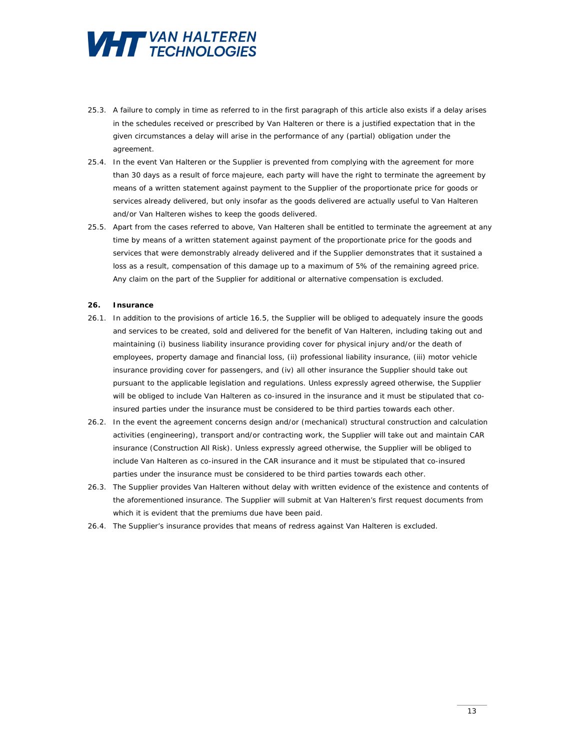

- 25.3. A failure to comply in time as referred to in the first paragraph of this article also exists if a delay arises in the schedules received or prescribed by Van Halteren or there is a justified expectation that in the given circumstances a delay will arise in the performance of any (partial) obligation under the agreement.
- 25.4. In the event Van Halteren or the Supplier is prevented from complying with the agreement for more than 30 days as a result of force majeure, each party will have the right to terminate the agreement by means of a written statement against payment to the Supplier of the proportionate price for goods or services already delivered, but only insofar as the goods delivered are actually useful to Van Halteren and/or Van Halteren wishes to keep the goods delivered.
- 25.5. Apart from the cases referred to above, Van Halteren shall be entitled to terminate the agreement at any time by means of a written statement against payment of the proportionate price for the goods and services that were demonstrably already delivered and if the Supplier demonstrates that it sustained a loss as a result, compensation of this damage up to a maximum of 5% of the remaining agreed price. Any claim on the part of the Supplier for additional or alternative compensation is excluded.

#### **26. Insurance**

- 26.1. In addition to the provisions of article 16.5, the Supplier will be obliged to adequately insure the goods and services to be created, sold and delivered for the benefit of Van Halteren, including taking out and maintaining (i) business liability insurance providing cover for physical injury and/or the death of employees, property damage and financial loss, (ii) professional liability insurance, (iii) motor vehicle insurance providing cover for passengers, and (iv) all other insurance the Supplier should take out pursuant to the applicable legislation and regulations. Unless expressly agreed otherwise, the Supplier will be obliged to include Van Halteren as co-insured in the insurance and it must be stipulated that coinsured parties under the insurance must be considered to be third parties towards each other.
- 26.2. In the event the agreement concerns design and/or (mechanical) structural construction and calculation activities (*engineering*), transport and/or contracting work, the Supplier will take out and maintain CAR insurance (*Construction All Risk*). Unless expressly agreed otherwise, the Supplier will be obliged to include Van Halteren as co-insured in the CAR insurance and it must be stipulated that co-insured parties under the insurance must be considered to be third parties towards each other.
- 26.3. The Supplier provides Van Halteren without delay with written evidence of the existence and contents of the aforementioned insurance. The Supplier will submit at Van Halteren's first request documents from which it is evident that the premiums due have been paid.
- 26.4. The Supplier's insurance provides that means of redress against Van Halteren is excluded.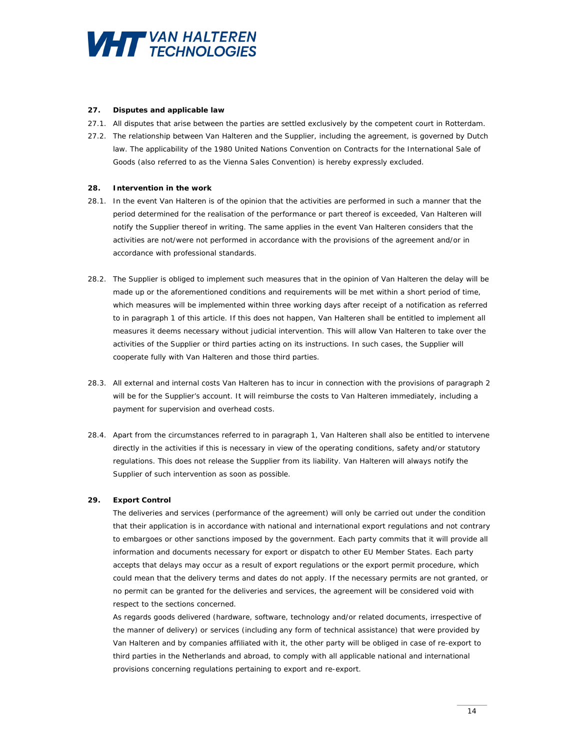

#### **27. Disputes and applicable law**

- 27.1. All disputes that arise between the parties are settled exclusively by the competent court in Rotterdam.
- 27.2. The relationship between Van Halteren and the Supplier, including the agreement, is governed by Dutch law. The applicability of the 1980 United Nations Convention on Contracts for the International Sale of Goods (also referred to as the Vienna Sales Convention) is hereby expressly excluded.

## **28. Intervention in the work**

- 28.1. In the event Van Halteren is of the opinion that the activities are performed in such a manner that the period determined for the realisation of the performance or part thereof is exceeded, Van Halteren will notify the Supplier thereof in writing. The same applies in the event Van Halteren considers that the activities are not/were not performed in accordance with the provisions of the agreement and/or in accordance with professional standards.
- 28.2. The Supplier is obliged to implement such measures that in the opinion of Van Halteren the delay will be made up or the aforementioned conditions and requirements will be met within a short period of time, which measures will be implemented within three working days after receipt of a notification as referred to in paragraph 1 of this article. If this does not happen, Van Halteren shall be entitled to implement all measures it deems necessary without judicial intervention. This will allow Van Halteren to take over the activities of the Supplier or third parties acting on its instructions. In such cases, the Supplier will cooperate fully with Van Halteren and those third parties.
- 28.3. All external and internal costs Van Halteren has to incur in connection with the provisions of paragraph 2 will be for the Supplier's account. It will reimburse the costs to Van Halteren immediately, including a payment for supervision and overhead costs.
- 28.4. Apart from the circumstances referred to in paragraph 1, Van Halteren shall also be entitled to intervene directly in the activities if this is necessary in view of the operating conditions, safety and/or statutory regulations. This does not release the Supplier from its liability. Van Halteren will always notify the Supplier of such intervention as soon as possible.

# **29. Export Control**

The deliveries and services (performance of the agreement) will only be carried out under the condition that their application is in accordance with national and international export regulations and not contrary to embargoes or other sanctions imposed by the government. Each party commits that it will provide all information and documents necessary for export or dispatch to other EU Member States. Each party accepts that delays may occur as a result of export regulations or the export permit procedure, which could mean that the delivery terms and dates do not apply. If the necessary permits are not granted, or no permit can be granted for the deliveries and services, the agreement will be considered void with respect to the sections concerned.

As regards goods delivered (hardware, software, technology and/or related documents, irrespective of the manner of delivery) or services (including any form of technical assistance) that were provided by Van Halteren and by companies affiliated with it, the other party will be obliged in case of re-export to third parties in the Netherlands and abroad, to comply with all applicable national and international provisions concerning regulations pertaining to export and re-export.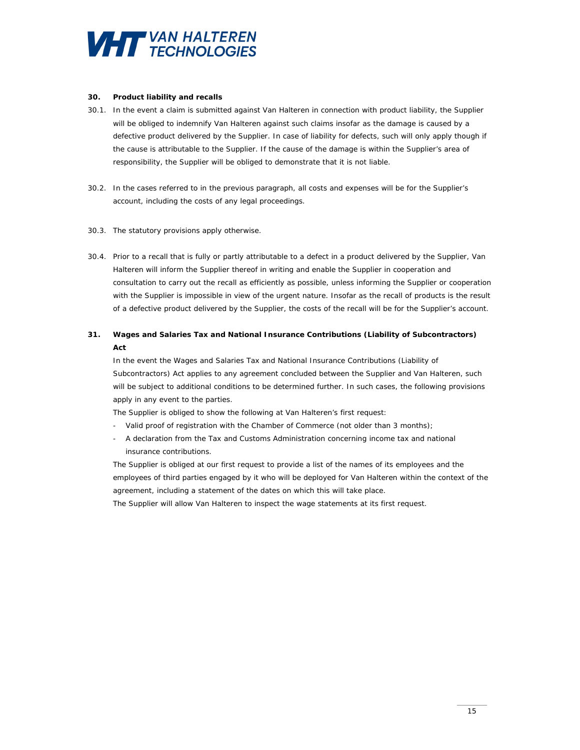

## **30. Product liability and recalls**

- 30.1. In the event a claim is submitted against Van Halteren in connection with product liability, the Supplier will be obliged to indemnify Van Halteren against such claims insofar as the damage is caused by a defective product delivered by the Supplier. In case of liability for defects, such will only apply though if the cause is attributable to the Supplier. If the cause of the damage is within the Supplier's area of responsibility, the Supplier will be obliged to demonstrate that it is not liable.
- 30.2. In the cases referred to in the previous paragraph, all costs and expenses will be for the Supplier's account, including the costs of any legal proceedings.
- 30.3. The statutory provisions apply otherwise.
- 30.4. Prior to a recall that is fully or partly attributable to a defect in a product delivered by the Supplier, Van Halteren will inform the Supplier thereof in writing and enable the Supplier in cooperation and consultation to carry out the recall as efficiently as possible, unless informing the Supplier or cooperation with the Supplier is impossible in view of the urgent nature. Insofar as the recall of products is the result of a defective product delivered by the Supplier, the costs of the recall will be for the Supplier's account.

# **31. Wages and Salaries Tax and National Insurance Contributions (Liability of Subcontractors) Act**

In the event the Wages and Salaries Tax and National Insurance Contributions (Liability of Subcontractors) Act applies to any agreement concluded between the Supplier and Van Halteren, such will be subject to additional conditions to be determined further. In such cases, the following provisions apply in any event to the parties.

The Supplier is obliged to show the following at Van Halteren's first request:

- Valid proof of registration with the Chamber of Commerce (not older than 3 months);
- A declaration from the Tax and Customs Administration concerning income tax and national insurance contributions.

The Supplier is obliged at our first request to provide a list of the names of its employees and the employees of third parties engaged by it who will be deployed for Van Halteren within the context of the agreement, including a statement of the dates on which this will take place.

The Supplier will allow Van Halteren to inspect the wage statements at its first request.